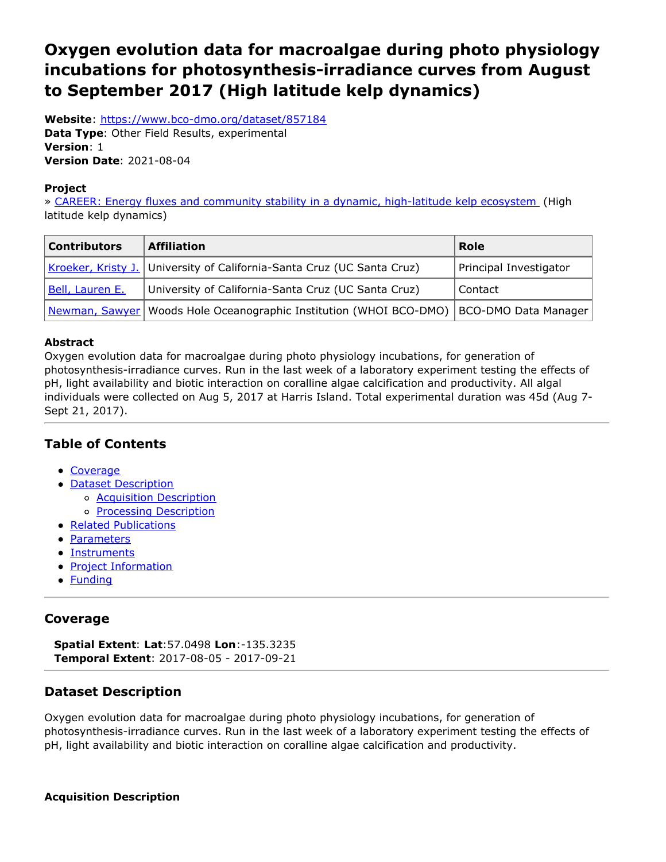# <span id="page-0-0"></span>**Oxygen evolution data for macroalgae during photo physiology incubations for photosynthesis-irradiance curves from August to September 2017 (High latitude kelp dynamics)**

**Website**: <https://www.bco-dmo.org/dataset/857184> **Data Type**: Other Field Results, experimental **Version**: 1 **Version Date**: 2021-08-04

### **Project**

» CAREER: Energy fluxes and community stability in a dynamic, [high-latitude](https://www.bco-dmo.org/project/756735) kelp ecosystem (High latitude kelp dynamics)

| <b>Contributors</b> | <b>Affiliation</b>                                                                          | Role                   |
|---------------------|---------------------------------------------------------------------------------------------|------------------------|
|                     | Kroeker, Kristy J. University of California-Santa Cruz (UC Santa Cruz)                      | Principal Investigator |
| Bell, Lauren E.     | University of California-Santa Cruz (UC Santa Cruz)                                         | Contact                |
|                     | Newman, Sawyer   Woods Hole Oceanographic Institution (WHOI BCO-DMO)   BCO-DMO Data Manager |                        |

### **Abstract**

Oxygen evolution data for macroalgae during photo physiology incubations, for generation of photosynthesis-irradiance curves. Run in the last week of a laboratory experiment testing the effects of pH, light availability and biotic interaction on coralline algae calcification and productivity. All algal individuals were collected on Aug 5, 2017 at Harris Island. Total experimental duration was 45d (Aug 7- Sept 21, 2017).

# **Table of Contents**

- [Coverage](#page-0-0)
- Dataset [Description](#page-0-0)
	- Acquisition [Description](#page-0-0)
		- o **Processing [Description](#page-0-0)**
- Related [Publications](#page-0-0)
- [Parameters](#page-0-0)
- [Instruments](#page-0-0)
- Project [Information](#page-0-0)
- [Funding](#page-0-0)

# **Coverage**

**Spatial Extent**: **Lat**:57.0498 **Lon**:-135.3235 **Temporal Extent**: 2017-08-05 - 2017-09-21

# **Dataset Description**

Oxygen evolution data for macroalgae during photo physiology incubations, for generation of photosynthesis-irradiance curves. Run in the last week of a laboratory experiment testing the effects of pH, light availability and biotic interaction on coralline algae calcification and productivity.

### **Acquisition Description**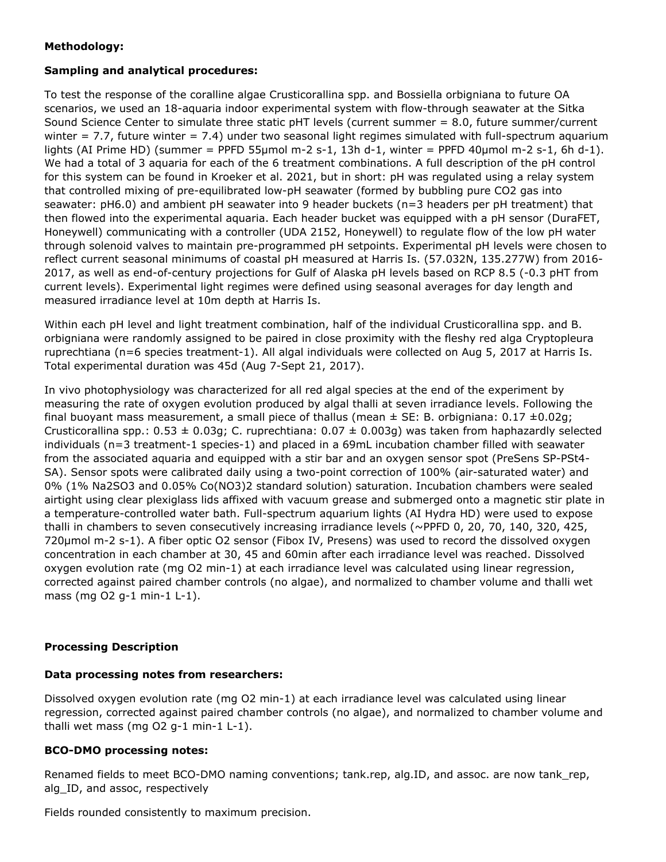### **Methodology:**

### **Sampling and analytical procedures:**

To test the response of the coralline algae Crusticorallina spp. and Bossiella orbigniana to future OA scenarios, we used an 18-aquaria indoor experimental system with flow-through seawater at the Sitka Sound Science Center to simulate three static pHT levels (current summer = 8.0, future summer/current winter =  $7.7$ , future winter =  $7.4$ ) under two seasonal light regimes simulated with full-spectrum aquarium lights (AI Prime HD) (summer = PPFD 55μmol m-2 s-1, 13h d-1, winter = PPFD 40μmol m-2 s-1, 6h d-1). We had a total of 3 aquaria for each of the 6 treatment combinations. A full description of the pH control for this system can be found in Kroeker et al. 2021, but in short: pH was regulated using a relay system that controlled mixing of pre-equilibrated low-pH seawater (formed by bubbling pure CO2 gas into seawater: pH6.0) and ambient pH seawater into 9 header buckets (n=3 headers per pH treatment) that then flowed into the experimental aquaria. Each header bucket was equipped with a pH sensor (DuraFET, Honeywell) communicating with a controller (UDA 2152, Honeywell) to regulate flow of the low pH water through solenoid valves to maintain pre-programmed pH setpoints. Experimental pH levels were chosen to reflect current seasonal minimums of coastal pH measured at Harris Is. (57.032N, 135.277W) from 2016- 2017, as well as end-of-century projections for Gulf of Alaska pH levels based on RCP 8.5 (-0.3 pHT from current levels). Experimental light regimes were defined using seasonal averages for day length and measured irradiance level at 10m depth at Harris Is.

Within each pH level and light treatment combination, half of the individual Crusticorallina spp. and B. orbigniana were randomly assigned to be paired in close proximity with the fleshy red alga Cryptopleura ruprechtiana (n=6 species treatment-1). All algal individuals were collected on Aug 5, 2017 at Harris Is. Total experimental duration was 45d (Aug 7-Sept 21, 2017).

In vivo photophysiology was characterized for all red algal species at the end of the experiment by measuring the rate of oxygen evolution produced by algal thalli at seven irradiance levels. Following the final buoyant mass measurement, a small piece of thallus (mean  $\pm$  SE: B. orbigniana: 0.17  $\pm$ 0.02g; Crusticorallina spp.:  $0.53 \pm 0.03$ g; C. ruprechtiana:  $0.07 \pm 0.003$ g) was taken from haphazardly selected individuals (n=3 treatment-1 species-1) and placed in a 69mL incubation chamber filled with seawater from the associated aquaria and equipped with a stir bar and an oxygen sensor spot (PreSens SP-PSt4- SA). Sensor spots were calibrated daily using a two-point correction of 100% (air-saturated water) and 0% (1% Na2SO3 and 0.05% Co(NO3)2 standard solution) saturation. Incubation chambers were sealed airtight using clear plexiglass lids affixed with vacuum grease and submerged onto a magnetic stir plate in a temperature-controlled water bath. Full-spectrum aquarium lights (AI Hydra HD) were used to expose thalli in chambers to seven consecutively increasing irradiance levels (~PPFD 0, 20, 70, 140, 320, 425, 720μmol m-2 s-1). A fiber optic O2 sensor (Fibox IV, Presens) was used to record the dissolved oxygen concentration in each chamber at 30, 45 and 60min after each irradiance level was reached. Dissolved oxygen evolution rate (mg O2 min-1) at each irradiance level was calculated using linear regression, corrected against paired chamber controls (no algae), and normalized to chamber volume and thalli wet mass (mg O2 g-1 min-1 L-1).

### **Processing Description**

### **Data processing notes from researchers:**

Dissolved oxygen evolution rate (mg O2 min-1) at each irradiance level was calculated using linear regression, corrected against paired chamber controls (no algae), and normalized to chamber volume and thalli wet mass (mg O2 g-1 min-1 L-1).

### **BCO-DMO processing notes:**

Renamed fields to meet BCO-DMO naming conventions; tank.rep, alg.ID, and assoc. are now tank\_rep, alg\_ID, and assoc, respectively

Fields rounded consistently to maximum precision.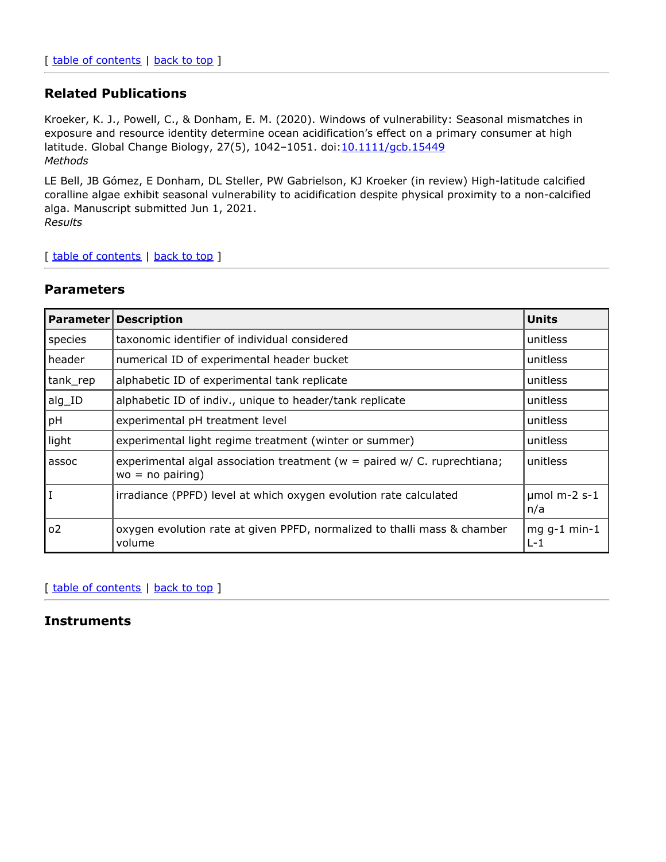# **Related Publications**

Kroeker, K. J., Powell, C., & Donham, E. M. (2020). Windows of vulnerability: Seasonal mismatches in exposure and resource identity determine ocean acidification's effect on a primary consumer at high latitude. Global Change Biology, 27(5), 1042-1051. doi: [10.1111/gcb.15449](https://doi.org/10.1111/gcb.15449) *Methods*

LE Bell, JB Gómez, E Donham, DL Steller, PW Gabrielson, KJ Kroeker (in review) High-latitude calcified coralline algae exhibit seasonal vulnerability to acidification despite physical proximity to a non-calcified alga. Manuscript submitted Jun 1, 2021.

*Results*

#### [ table of [contents](#page-0-0) | [back](#page-0-0) to top ]

### **Parameters**

| <b>Parameter</b> | <b>Description</b>                                                                                    | <b>Units</b>           |
|------------------|-------------------------------------------------------------------------------------------------------|------------------------|
| species          | taxonomic identifier of individual considered                                                         | unitless               |
| header           | numerical ID of experimental header bucket                                                            | unitless               |
| tank_rep         | alphabetic ID of experimental tank replicate                                                          | unitless               |
| alg_ID           | alphabetic ID of indiv., unique to header/tank replicate                                              | unitless               |
| pH               | experimental pH treatment level                                                                       | unitless               |
| light            | experimental light regime treatment (winter or summer)                                                | unitless               |
| assoc            | experimental algal association treatment ( $w =$ paired $w / C$ . ruprechtiana;<br>$wo = no pairing)$ | unitless               |
| $\mathbf I$      | irradiance (PPFD) level at which oxygen evolution rate calculated                                     | $µmol$ m-2 s-1<br>n/a  |
| 0 <sup>2</sup>   | oxygen evolution rate at given PPFD, normalized to thalli mass & chamber<br>volume                    | $mgg-1$ min-1<br>$L-1$ |

### [ table of [contents](#page-0-0) | [back](#page-0-0) to top ]

### **Instruments**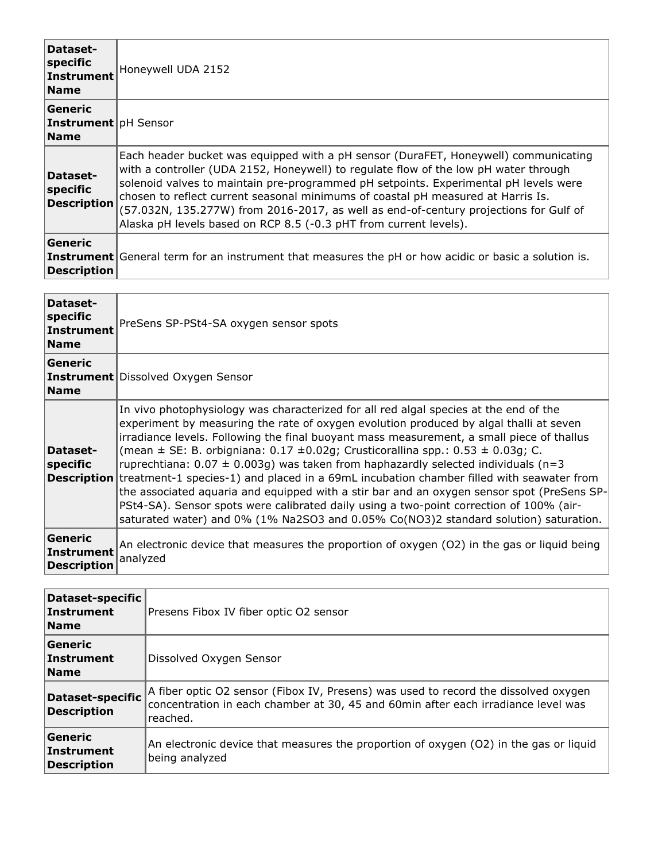| Dataset-<br>specific<br>Instrument<br><b>Name</b>     | Honeywell UDA 2152                                                                                                                                                                                                                                                                                                                                                                                                                                                                                                    |
|-------------------------------------------------------|-----------------------------------------------------------------------------------------------------------------------------------------------------------------------------------------------------------------------------------------------------------------------------------------------------------------------------------------------------------------------------------------------------------------------------------------------------------------------------------------------------------------------|
| Generic<br><b>Instrument</b> pH Sensor<br><b>Name</b> |                                                                                                                                                                                                                                                                                                                                                                                                                                                                                                                       |
| Dataset-<br>specific<br><b>Description</b>            | Each header bucket was equipped with a pH sensor (DuraFET, Honeywell) communicating<br>with a controller (UDA 2152, Honeywell) to regulate flow of the low pH water through<br>solenoid valves to maintain pre-programmed pH setpoints. Experimental pH levels were<br>chosen to reflect current seasonal minimums of coastal pH measured at Harris Is.<br>(57.032N, 135.277W) from 2016-2017, as well as end-of-century projections for Gulf of<br>Alaska pH levels based on RCP 8.5 (-0.3 pHT from current levels). |
| <b>Generic</b><br><b>Description</b>                  | <b>Instrument</b> General term for an instrument that measures the pH or how acidic or basic a solution is.                                                                                                                                                                                                                                                                                                                                                                                                           |

| Dataset-<br>specific<br>Instrument<br><b>Name</b> | PreSens SP-PSt4-SA oxygen sensor spots                                                                                                                                                                                                                                                                                                                                                                                                                                                                                                                                                                                                                                                                                                                                                                                                                                |
|---------------------------------------------------|-----------------------------------------------------------------------------------------------------------------------------------------------------------------------------------------------------------------------------------------------------------------------------------------------------------------------------------------------------------------------------------------------------------------------------------------------------------------------------------------------------------------------------------------------------------------------------------------------------------------------------------------------------------------------------------------------------------------------------------------------------------------------------------------------------------------------------------------------------------------------|
| Generic<br><b>Name</b>                            | <b>Instrument</b> Dissolved Oxygen Sensor                                                                                                                                                                                                                                                                                                                                                                                                                                                                                                                                                                                                                                                                                                                                                                                                                             |
| Dataset-<br>specific                              | In vivo photophysiology was characterized for all red algal species at the end of the<br>experiment by measuring the rate of oxygen evolution produced by algal thalli at seven<br>irradiance levels. Following the final buoyant mass measurement, a small piece of thallus<br>(mean $\pm$ SE: B. orbigniana: 0.17 $\pm$ 0.02g; Crusticorallina spp.: 0.53 $\pm$ 0.03g; C.<br>ruprechtiana: $0.07 \pm 0.003$ g) was taken from haphazardly selected individuals (n=3<br><b>Description</b> treatment-1 species-1) and placed in a 69mL incubation chamber filled with seawater from<br>the associated aquaria and equipped with a stir bar and an oxygen sensor spot (PreSens SP-<br>PSt4-SA). Sensor spots were calibrated daily using a two-point correction of 100% (air-<br>saturated water) and 0% (1% Na2SO3 and 0.05% Co(NO3)2 standard solution) saturation. |
| Generic<br>Instrument<br><b>Description</b>       | An electronic device that measures the proportion of oxygen (O2) in the gas or liquid being<br>analyzed                                                                                                                                                                                                                                                                                                                                                                                                                                                                                                                                                                                                                                                                                                                                                               |

| Dataset-specific<br>Instrument<br><b>Name</b>      | Presens Fibox IV fiber optic O2 sensor                                                                                                                                               |
|----------------------------------------------------|--------------------------------------------------------------------------------------------------------------------------------------------------------------------------------------|
| Generic<br>Instrument<br><b>Name</b>               | Dissolved Oxygen Sensor                                                                                                                                                              |
| Dataset-specific<br><b>Description</b>             | A fiber optic O2 sensor (Fibox IV, Presens) was used to record the dissolved oxygen<br>concentration in each chamber at 30, 45 and 60min after each irradiance level was<br>reached. |
| <b>Generic</b><br><b>Instrument</b><br>Description | An electronic device that measures the proportion of oxygen (O2) in the gas or liquid<br>being analyzed                                                                              |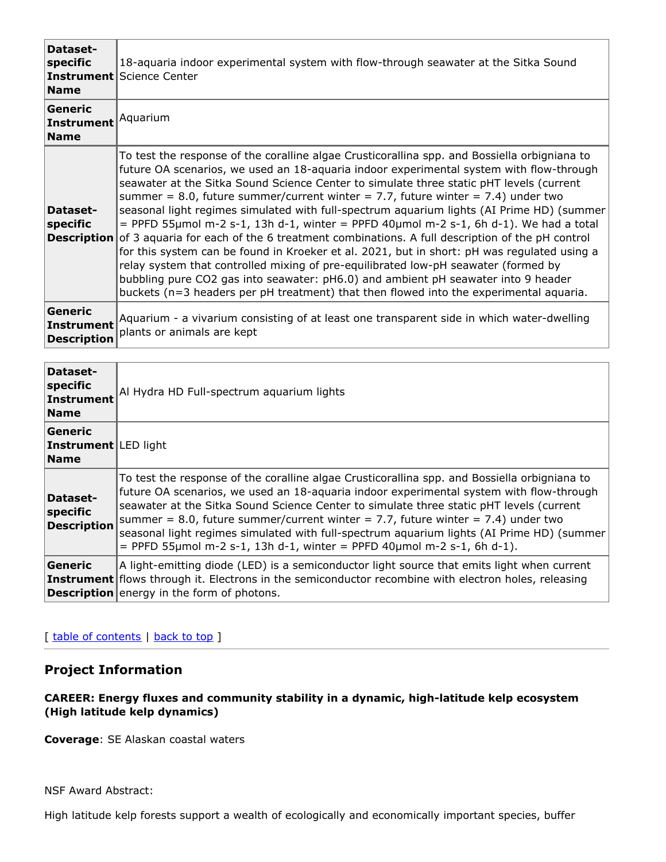| Dataset-<br>specific<br><b>Name</b>                | 18-aquaria indoor experimental system with flow-through seawater at the Sitka Sound<br><b>Instrument</b> Science Center                                                                                                                                                                                                                                                                                                                                                                                                                                                                                                                                                                                                                                                                                                                                                                                                                                                                                                                              |
|----------------------------------------------------|------------------------------------------------------------------------------------------------------------------------------------------------------------------------------------------------------------------------------------------------------------------------------------------------------------------------------------------------------------------------------------------------------------------------------------------------------------------------------------------------------------------------------------------------------------------------------------------------------------------------------------------------------------------------------------------------------------------------------------------------------------------------------------------------------------------------------------------------------------------------------------------------------------------------------------------------------------------------------------------------------------------------------------------------------|
| <b>Generic</b><br><b>Instrument</b><br><b>Name</b> | Aquarium                                                                                                                                                                                                                                                                                                                                                                                                                                                                                                                                                                                                                                                                                                                                                                                                                                                                                                                                                                                                                                             |
| Dataset-<br>specific                               | To test the response of the coralline algae Crusticorallina spp. and Bossiella orbigniana to<br>future OA scenarios, we used an 18-aquaria indoor experimental system with flow-through<br>seawater at the Sitka Sound Science Center to simulate three static pHT levels (current<br>summer = 8.0, future summer/current winter = 7.7, future winter = 7.4) under two<br>seasonal light regimes simulated with full-spectrum aquarium lights (AI Prime HD) (summer<br>$=$ PPFD 55µmol m-2 s-1, 13h d-1, winter = PPFD 40µmol m-2 s-1, 6h d-1). We had a total<br><b>Description</b> of 3 aguaria for each of the 6 treatment combinations. A full description of the pH control<br>for this system can be found in Kroeker et al. 2021, but in short: pH was regulated using a<br>relay system that controlled mixing of pre-equilibrated low-pH seawater (formed by<br>bubbling pure CO2 gas into seawater: pH6.0) and ambient pH seawater into 9 header<br>buckets (n=3 headers per pH treatment) that then flowed into the experimental aquaria. |
| Generic<br><b>Instrument</b><br><b>Description</b> | Aquarium - a vivarium consisting of at least one transparent side in which water-dwelling<br>plants or animals are kept                                                                                                                                                                                                                                                                                                                                                                                                                                                                                                                                                                                                                                                                                                                                                                                                                                                                                                                              |

| Dataset-<br>specific<br>Instrument<br><b>Name</b>     | Al Hydra HD Full-spectrum aquarium lights                                                                                                                                                                                                                                                                                                                                                                                                                                                                                                       |
|-------------------------------------------------------|-------------------------------------------------------------------------------------------------------------------------------------------------------------------------------------------------------------------------------------------------------------------------------------------------------------------------------------------------------------------------------------------------------------------------------------------------------------------------------------------------------------------------------------------------|
| Generic<br><b>Instrument</b> LED light<br><b>Name</b> |                                                                                                                                                                                                                                                                                                                                                                                                                                                                                                                                                 |
| Dataset-<br>specific<br><b>Description</b>            | To test the response of the coralline algae Crusticorallina spp. and Bossiella orbigniana to<br>future OA scenarios, we used an 18-aquaria indoor experimental system with flow-through<br>seawater at the Sitka Sound Science Center to simulate three static pHT levels (current<br>summer = 8.0, future summer/current winter = 7.7, future winter = 7.4) under two<br>seasonal light regimes simulated with full-spectrum aquarium lights (AI Prime HD) (summer<br>$=$ PPFD 55µmol m-2 s-1, 13h d-1, winter = PPFD 40µmol m-2 s-1, 6h d-1). |
| <b>Generic</b>                                        | A light-emitting diode (LED) is a semiconductor light source that emits light when current<br><b>Instrument</b> flows through it. Electrons in the semiconductor recombine with electron holes, releasing<br><b>Description</b> energy in the form of photons.                                                                                                                                                                                                                                                                                  |

### [ table of [contents](#page-0-0) | [back](#page-0-0) to top ]

# **Project Information**

### **CAREER: Energy fluxes and community stability in a dynamic, high-latitude kelp ecosystem (High latitude kelp dynamics)**

**Coverage**: SE Alaskan coastal waters

### NSF Award Abstract:

High latitude kelp forests support a wealth of ecologically and economically important species, buffer